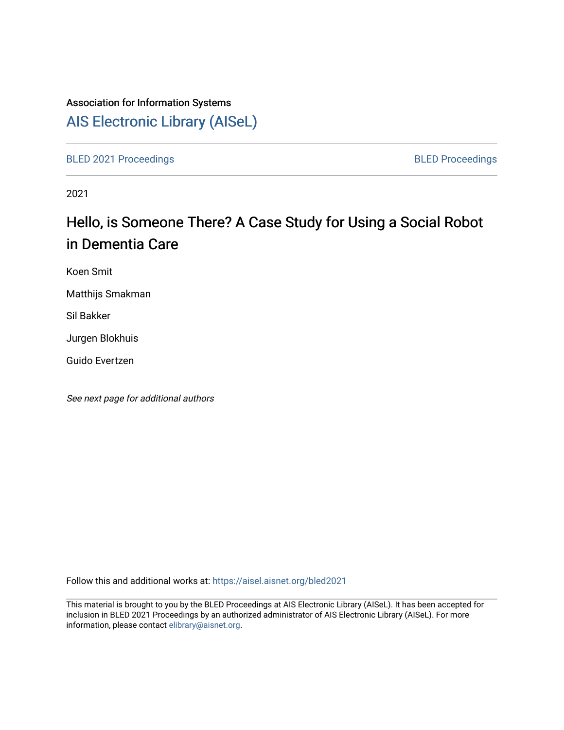# Association for Information Systems

# [AIS Electronic Library \(AISeL\)](https://aisel.aisnet.org/)

[BLED 2021 Proceedings](https://aisel.aisnet.org/bled2021) **BLED Proceedings** 

2021

# Hello, is Someone There? A Case Study for Using a Social Robot in Dementia Care

Koen Smit

Matthijs Smakman

Sil Bakker

Jurgen Blokhuis

Guido Evertzen

See next page for additional authors

Follow this and additional works at: [https://aisel.aisnet.org/bled2021](https://aisel.aisnet.org/bled2021?utm_source=aisel.aisnet.org%2Fbled2021%2F27&utm_medium=PDF&utm_campaign=PDFCoverPages) 

This material is brought to you by the BLED Proceedings at AIS Electronic Library (AISeL). It has been accepted for inclusion in BLED 2021 Proceedings by an authorized administrator of AIS Electronic Library (AISeL). For more information, please contact [elibrary@aisnet.org.](mailto:elibrary@aisnet.org%3E)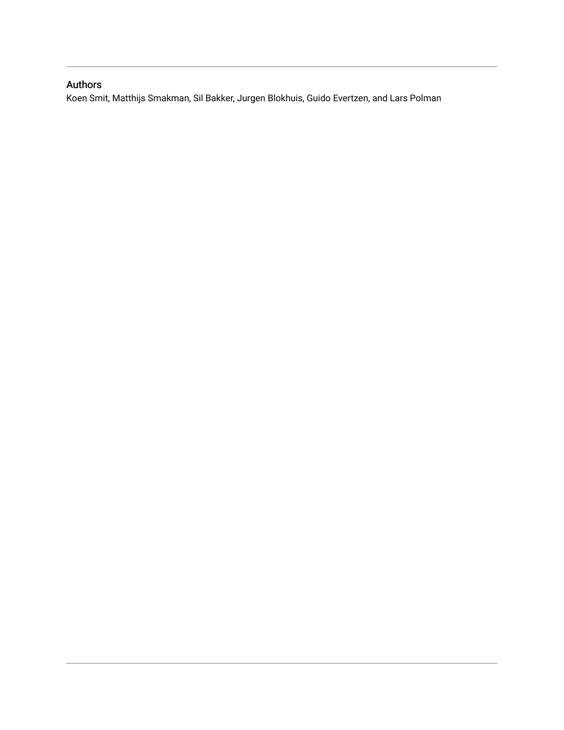# Authors

Koen Smit, Matthijs Smakman, Sil Bakker, Jurgen Blokhuis, Guido Evertzen, and Lars Polman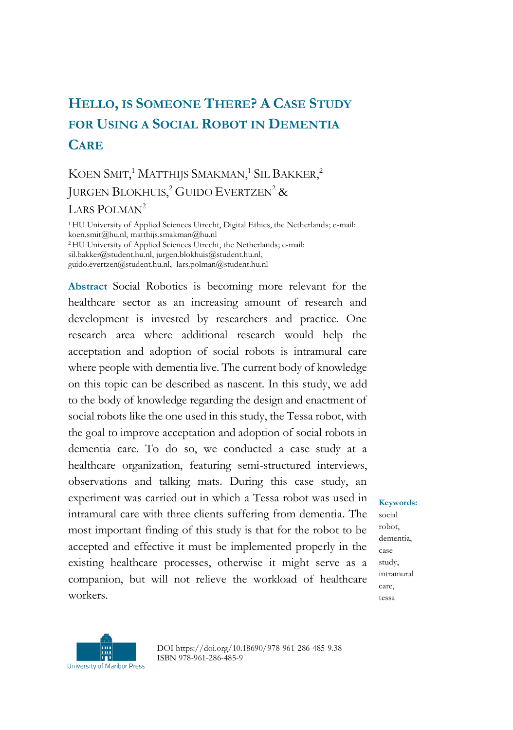# **HELLO, IS SOMEONE THERE? A CASE STUDY FOR USING A SOCIAL ROBOT IN DEMENTIA CARE**

# KOEN SMIT,<sup>1</sup> MATTHIJS SMAKMAN,<sup>1</sup> SIL BAKKER,<sup>2</sup> JURGEN BLOKHUIS,<sup>2</sup> GUIDO EVERTZEN<sup>2</sup> &

LARS POLMAN<sup>2</sup>

<sup>1</sup>HU University of Applied Sciences Utrecht, Digital Ethics, the Netherlands; e-mail: koen.smit@hu.nl, matthijs.smakman@hu.nl <sup>2</sup>HU University of Applied Sciences Utrecht, the Netherlands; e-mail: sil.bakker@student.hu.nl, jurgen.blokhuis@student.hu.nl, guido.evertzen@student.hu.nl, lars.polman@student.hu.nl

**Abstract** Social Robotics is becoming more relevant for the healthcare sector as an increasing amount of research and development is invested by researchers and practice. One research area where additional research would help the acceptation and adoption of social robots is intramural care where people with dementia live. The current body of knowledge on this topic can be described as nascent. In this study, we add to the body of knowledge regarding the design and enactment of social robots like the one used in this study, the Tessa robot, with the goal to improve acceptation and adoption of social robots in dementia care. To do so, we conducted a case study at a healthcare organization, featuring semi-structured interviews, observations and talking mats. During this case study, an experiment was carried out in which a Tessa robot was used in intramural care with three clients suffering from dementia. The most important finding of this study is that for the robot to be accepted and effective it must be implemented properly in the existing healthcare processes, otherwise it might serve as a companion, but will not relieve the workload of healthcare workers.

**Keywords:**

social robot, dementia, case study, intramural care, tessa



DOI https://doi.org/10.18690/978-961-286-485-9.38 ISBN 978-961-286-485-9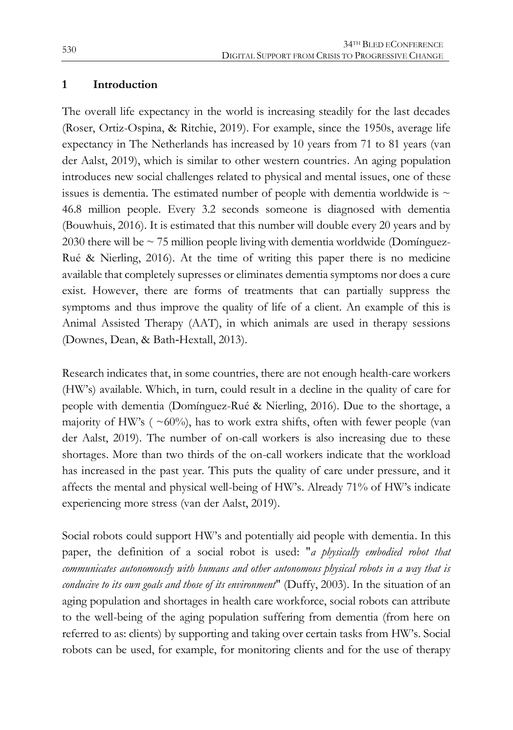#### **1 Introduction**

The overall life expectancy in the world is increasing steadily for the last decades (Roser, Ortiz-Ospina, & Ritchie, 2019). For example, since the 1950s, average life expectancy in The Netherlands has increased by 10 years from 71 to 81 years (van der Aalst, 2019), which is similar to other western countries. An aging population introduces new social challenges related to physical and mental issues, one of these issues is dementia. The estimated number of people with dementia worldwide is  $\sim$ 46.8 million people. Every 3.2 seconds someone is diagnosed with dementia (Bouwhuis, 2016). It is estimated that this number will double every 20 years and by 2030 there will be  $\sim$  75 million people living with dementia worldwide (Domínguez-Rué & Nierling, 2016). At the time of writing this paper there is no medicine available that completely supresses or eliminates dementia symptoms nor does a cure exist. However, there are forms of treatments that can partially suppress the symptoms and thus improve the quality of life of a client. An example of this is Animal Assisted Therapy (AAT), in which animals are used in therapy sessions (Downes, Dean, & Bath‐Hextall, 2013).

Research indicates that, in some countries, there are not enough health-care workers (HW's) available. Which, in turn, could result in a decline in the quality of care for people with dementia (Domínguez-Rué & Nierling, 2016). Due to the shortage, a majority of HW's ( $\sim 60\%$ ), has to work extra shifts, often with fewer people (van der Aalst, 2019). The number of on-call workers is also increasing due to these shortages. More than two thirds of the on-call workers indicate that the workload has increased in the past year. This puts the quality of care under pressure, and it affects the mental and physical well-being of HW's. Already 71% of HW's indicate experiencing more stress (van der Aalst, 2019).

Social robots could support HW's and potentially aid people with dementia. In this paper, the definition of a social robot is used: "*a physically embodied robot that communicates autonomously with humans and other autonomous physical robots in a way that is conducive to its own goals and those of its environment*" (Duffy, 2003). In the situation of an aging population and shortages in health care workforce, social robots can attribute to the well-being of the aging population suffering from dementia (from here on referred to as: clients) by supporting and taking over certain tasks from HW's. Social robots can be used, for example, for monitoring clients and for the use of therapy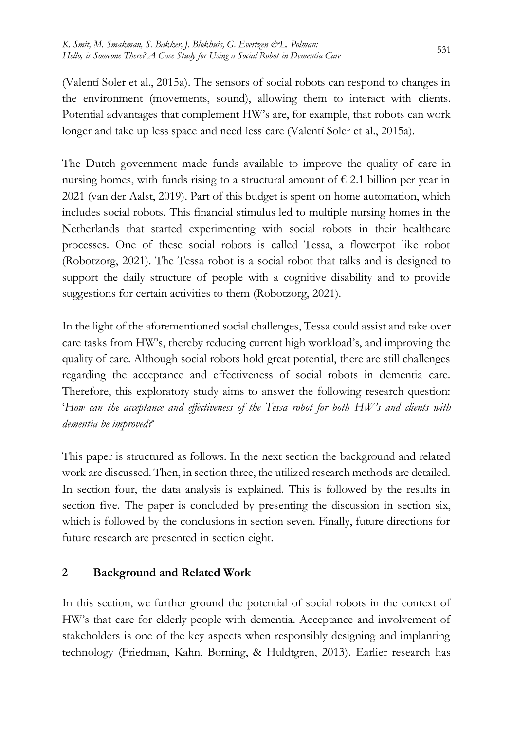(Valentí Soler et al., 2015a). The sensors of social robots can respond to changes in the environment (movements, sound), allowing them to interact with clients. Potential advantages that complement HW's are, for example, that robots can work longer and take up less space and need less care (Valentí Soler et al., 2015a).

The Dutch government made funds available to improve the quality of care in nursing homes, with funds rising to a structural amount of  $\epsilon$  2.1 billion per year in 2021 (van der Aalst, 2019). Part of this budget is spent on home automation, which includes social robots. This financial stimulus led to multiple nursing homes in the Netherlands that started experimenting with social robots in their healthcare processes. One of these social robots is called Tessa, a flowerpot like robot (Robotzorg, 2021). The Tessa robot is a social robot that talks and is designed to support the daily structure of people with a cognitive disability and to provide suggestions for certain activities to them (Robotzorg, 2021).

In the light of the aforementioned social challenges, Tessa could assist and take over care tasks from HW's, thereby reducing current high workload's, and improving the quality of care. Although social robots hold great potential, there are still challenges regarding the acceptance and effectiveness of social robots in dementia care. Therefore, this exploratory study aims to answer the following research question: '*How can the acceptance and effectiveness of the Tessa robot for both HW's and clients with dementia be improved?*'

This paper is structured as follows. In the next section the background and related work are discussed. Then, in section three, the utilized research methods are detailed. In section four, the data analysis is explained. This is followed by the results in section five. The paper is concluded by presenting the discussion in section six, which is followed by the conclusions in section seven. Finally, future directions for future research are presented in section eight.

# **2 Background and Related Work**

In this section, we further ground the potential of social robots in the context of HW's that care for elderly people with dementia. Acceptance and involvement of stakeholders is one of the key aspects when responsibly designing and implanting technology (Friedman, Kahn, Borning, & Huldtgren, 2013). Earlier research has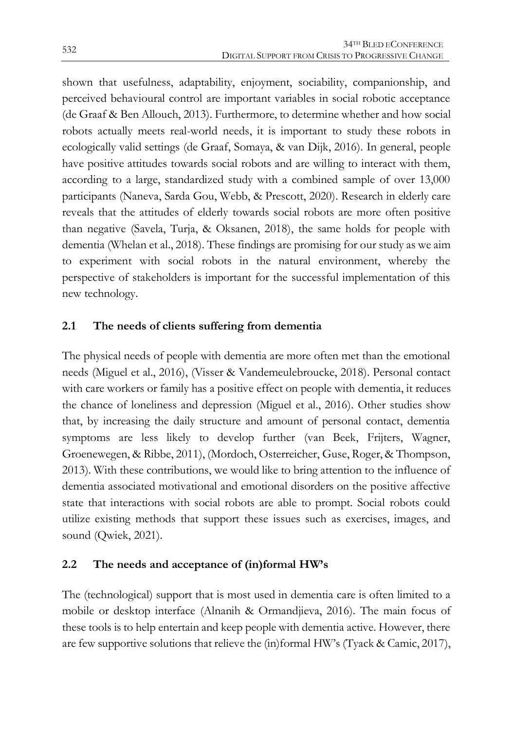shown that usefulness, adaptability, enjoyment, sociability, companionship, and perceived behavioural control are important variables in social robotic acceptance (de Graaf & Ben Allouch, 2013). Furthermore, to determine whether and how social robots actually meets real-world needs, it is important to study these robots in ecologically valid settings (de Graaf, Somaya, & van Dijk, 2016). In general, people have positive attitudes towards social robots and are willing to interact with them, according to a large, standardized study with a combined sample of over 13,000 participants (Naneva, Sarda Gou, Webb, & Prescott, 2020). Research in elderly care reveals that the attitudes of elderly towards social robots are more often positive than negative (Savela, Turja, & Oksanen, 2018), the same holds for people with dementia (Whelan et al., 2018). These findings are promising for our study as we aim to experiment with social robots in the natural environment, whereby the perspective of stakeholders is important for the successful implementation of this new technology.

# **2.1 The needs of clients suffering from dementia**

The physical needs of people with dementia are more often met than the emotional needs (Miguel et al., 2016), (Visser & Vandemeulebroucke, 2018). Personal contact with care workers or family has a positive effect on people with dementia, it reduces the chance of loneliness and depression (Miguel et al., 2016). Other studies show that, by increasing the daily structure and amount of personal contact, dementia symptoms are less likely to develop further (van Beek, Frijters, Wagner, Groenewegen, & Ribbe, 2011), (Mordoch, Osterreicher, Guse, Roger, & Thompson, 2013). With these contributions, we would like to bring attention to the influence of dementia associated motivational and emotional disorders on the positive affective state that interactions with social robots are able to prompt. Social robots could utilize existing methods that support these issues such as exercises, images, and sound (Qwiek, 2021).

# **2.2 The needs and acceptance of (in)formal HW's**

The (technological) support that is most used in dementia care is often limited to a mobile or desktop interface (Alnanih & Ormandjieva, 2016). The main focus of these tools is to help entertain and keep people with dementia active. However, there are few supportive solutions that relieve the (in)formal HW's (Tyack & Camic, 2017),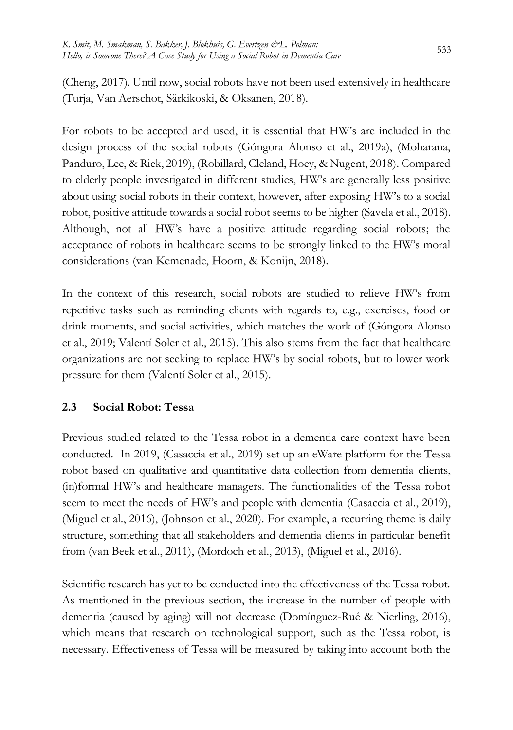(Cheng, 2017). Until now, social robots have not been used extensively in healthcare (Turja, Van Aerschot, Särkikoski, & Oksanen, 2018).

For robots to be accepted and used, it is essential that HW's are included in the design process of the social robots (Góngora Alonso et al., 2019a), (Moharana, Panduro, Lee, & Riek, 2019), (Robillard, Cleland, Hoey, & Nugent, 2018). Compared to elderly people investigated in different studies, HW's are generally less positive about using social robots in their context, however, after exposing HW's to a social robot, positive attitude towards a social robot seems to be higher (Savela et al., 2018). Although, not all HW's have a positive attitude regarding social robots; the acceptance of robots in healthcare seems to be strongly linked to the HW's moral considerations (van Kemenade, Hoorn, & Konijn, 2018).

In the context of this research, social robots are studied to relieve HW's from repetitive tasks such as reminding clients with regards to, e.g., exercises, food or drink moments, and social activities, which matches the work of (Góngora Alonso et al., 2019; Valentí Soler et al., 2015). This also stems from the fact that healthcare organizations are not seeking to replace HW's by social robots, but to lower work pressure for them (Valentí Soler et al., 2015).

# **2.3 Social Robot: Tessa**

Previous studied related to the Tessa robot in a dementia care context have been conducted. In 2019, (Casaccia et al., 2019) set up an eWare platform for the Tessa robot based on qualitative and quantitative data collection from dementia clients, (in)formal HW's and healthcare managers. The functionalities of the Tessa robot seem to meet the needs of HW's and people with dementia (Casaccia et al., 2019), (Miguel et al., 2016), (Johnson et al., 2020). For example, a recurring theme is daily structure, something that all stakeholders and dementia clients in particular benefit from (van Beek et al., 2011), (Mordoch et al., 2013), (Miguel et al., 2016).

Scientific research has yet to be conducted into the effectiveness of the Tessa robot. As mentioned in the previous section, the increase in the number of people with dementia (caused by aging) will not decrease (Domínguez-Rué & Nierling, 2016), which means that research on technological support, such as the Tessa robot, is necessary. Effectiveness of Tessa will be measured by taking into account both the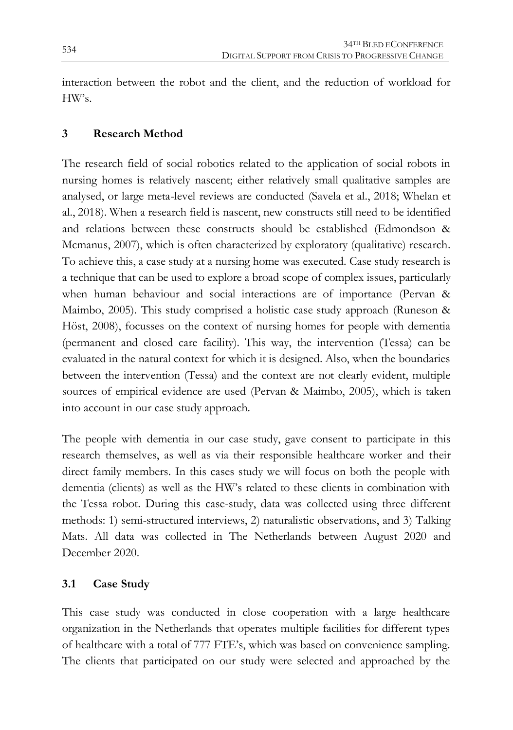interaction between the robot and the client, and the reduction of workload for HW's.

# **3 Research Method**

The research field of social robotics related to the application of social robots in nursing homes is relatively nascent; either relatively small qualitative samples are analysed, or large meta-level reviews are conducted (Savela et al., 2018; Whelan et al., 2018). When a research field is nascent, new constructs still need to be identified and relations between these constructs should be established (Edmondson & Mcmanus, 2007), which is often characterized by exploratory (qualitative) research. To achieve this, a case study at a nursing home was executed. Case study research is a technique that can be used to explore a broad scope of complex issues, particularly when human behaviour and social interactions are of importance (Pervan & Maimbo, 2005). This study comprised a holistic case study approach (Runeson & Höst, 2008), focusses on the context of nursing homes for people with dementia (permanent and closed care facility). This way, the intervention (Tessa) can be evaluated in the natural context for which it is designed. Also, when the boundaries between the intervention (Tessa) and the context are not clearly evident, multiple sources of empirical evidence are used (Pervan & Maimbo, 2005), which is taken into account in our case study approach.

The people with dementia in our case study, gave consent to participate in this research themselves, as well as via their responsible healthcare worker and their direct family members. In this cases study we will focus on both the people with dementia (clients) as well as the HW's related to these clients in combination with the Tessa robot. During this case-study, data was collected using three different methods: 1) semi-structured interviews, 2) naturalistic observations, and 3) Talking Mats. All data was collected in The Netherlands between August 2020 and December 2020.

# **3.1 Case Study**

This case study was conducted in close cooperation with a large healthcare organization in the Netherlands that operates multiple facilities for different types of healthcare with a total of 777 FTE's, which was based on convenience sampling. The clients that participated on our study were selected and approached by the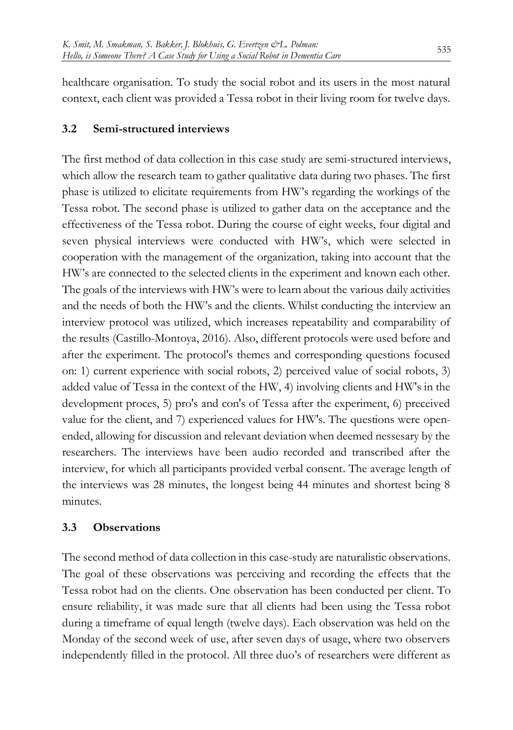healthcare organisation. To study the social robot and its users in the most natural context, each client was provided a Tessa robot in their living room for twelve days.

#### **3.2 Semi-structured interviews**

The first method of data collection in this case study are semi-structured interviews, which allow the research team to gather qualitative data during two phases. The first phase is utilized to elicitate requirements from HW's regarding the workings of the Tessa robot. The second phase is utilized to gather data on the acceptance and the effectiveness of the Tessa robot. During the course of eight weeks, four digital and seven physical interviews were conducted with HW's, which were selected in cooperation with the management of the organization, taking into account that the HW's are connected to the selected clients in the experiment and known each other. The goals of the interviews with HW's were to learn about the various daily activities and the needs of both the HW's and the clients. Whilst conducting the interview an interview protocol was utilized, which increases repeatability and comparability of the results (Castillo-Montoya, 2016). Also, different protocols were used before and after the experiment. The protocol's themes and corresponding questions focused on: 1) current experience with social robots, 2) perceived value of social robots, 3) added value of Tessa in the context of the HW, 4) involving clients and HW's in the development proces, 5) pro's and con's of Tessa after the experiment, 6) preceived value for the client, and 7) experienced values for HW's. The questions were openended, allowing for discussion and relevant deviation when deemed nessesary by the researchers. The interviews have been audio recorded and transcribed after the interview, for which all participants provided verbal consent. The average length of the interviews was 28 minutes, the longest being 44 minutes and shortest being 8 minutes.

#### **3.3 Observations**

The second method of data collection in this case-study are naturalistic observations. The goal of these observations was perceiving and recording the effects that the Tessa robot had on the clients. One observation has been conducted per client. To ensure reliability, it was made sure that all clients had been using the Tessa robot during a timeframe of equal length (twelve days). Each observation was held on the Monday of the second week of use, after seven days of usage, where two observers independently filled in the protocol. All three duo's of researchers were different as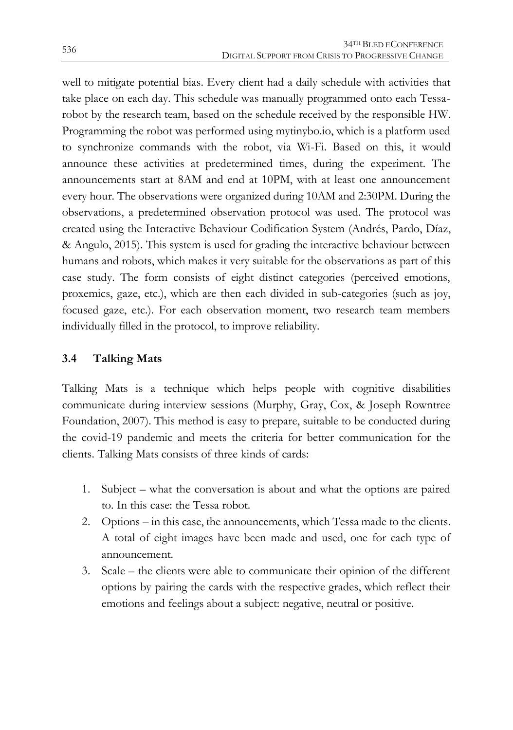well to mitigate potential bias. Every client had a daily schedule with activities that take place on each day. This schedule was manually programmed onto each Tessarobot by the research team, based on the schedule received by the responsible HW. Programming the robot was performed using mytinybo.io, which is a platform used to synchronize commands with the robot, via Wi-Fi. Based on this, it would announce these activities at predetermined times, during the experiment. The announcements start at 8AM and end at 10PM, with at least one announcement every hour. The observations were organized during 10AM and 2:30PM. During the observations, a predetermined observation protocol was used. The protocol was created using the Interactive Behaviour Codification System (Andrés, Pardo, Díaz, & Angulo, 2015). This system is used for grading the interactive behaviour between humans and robots, which makes it very suitable for the observations as part of this case study. The form consists of eight distinct categories (perceived emotions, proxemics, gaze, etc.), which are then each divided in sub-categories (such as joy, focused gaze, etc.). For each observation moment, two research team members individually filled in the protocol, to improve reliability.

# **3.4 Talking Mats**

Talking Mats is a technique which helps people with cognitive disabilities communicate during interview sessions (Murphy, Gray, Cox, & Joseph Rowntree Foundation, 2007). This method is easy to prepare, suitable to be conducted during the covid-19 pandemic and meets the criteria for better communication for the clients. Talking Mats consists of three kinds of cards:

- 1. Subject what the conversation is about and what the options are paired to. In this case: the Tessa robot.
- 2. Options in this case, the announcements, which Tessa made to the clients. A total of eight images have been made and used, one for each type of announcement.
- 3. Scale the clients were able to communicate their opinion of the different options by pairing the cards with the respective grades, which reflect their emotions and feelings about a subject: negative, neutral or positive.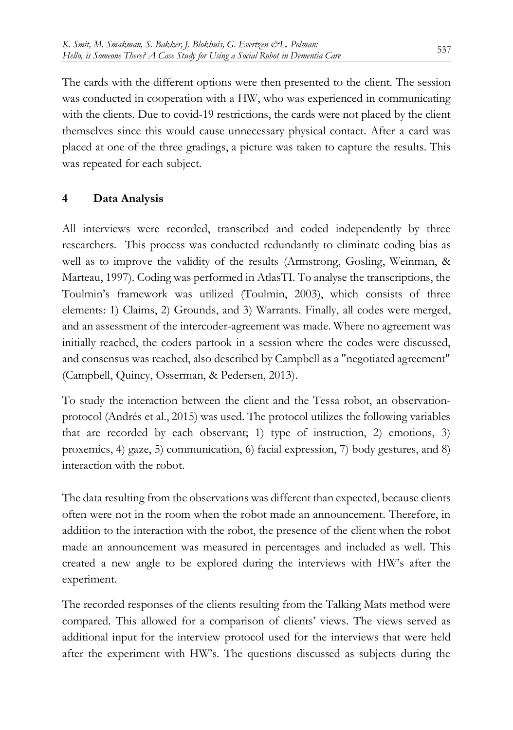The cards with the different options were then presented to the client. The session was conducted in cooperation with a HW, who was experienced in communicating with the clients. Due to covid-19 restrictions, the cards were not placed by the client themselves since this would cause unnecessary physical contact. After a card was placed at one of the three gradings, a picture was taken to capture the results. This was repeated for each subject.

#### **4 Data Analysis**

All interviews were recorded, transcribed and coded independently by three researchers. This process was conducted redundantly to eliminate coding bias as well as to improve the validity of the results (Armstrong, Gosling, Weinman, & Marteau, 1997). Coding was performed in AtlasTI. To analyse the transcriptions, the Toulmin's framework was utilized (Toulmin, 2003), which consists of three elements: 1) Claims, 2) Grounds, and 3) Warrants. Finally, all codes were merged, and an assessment of the intercoder-agreement was made. Where no agreement was initially reached, the coders partook in a session where the codes were discussed, and consensus was reached, also described by Campbell as a "negotiated agreement" (Campbell, Quincy, Osserman, & Pedersen, 2013).

To study the interaction between the client and the Tessa robot, an observationprotocol (Andrés et al., 2015) was used. The protocol utilizes the following variables that are recorded by each observant; 1) type of instruction, 2) emotions, 3) proxemics, 4) gaze, 5) communication, 6) facial expression, 7) body gestures, and 8) interaction with the robot.

The data resulting from the observations was different than expected, because clients often were not in the room when the robot made an announcement. Therefore, in addition to the interaction with the robot, the presence of the client when the robot made an announcement was measured in percentages and included as well. This created a new angle to be explored during the interviews with HW's after the experiment.

The recorded responses of the clients resulting from the Talking Mats method were compared. This allowed for a comparison of clients' views. The views served as additional input for the interview protocol used for the interviews that were held after the experiment with HW's. The questions discussed as subjects during the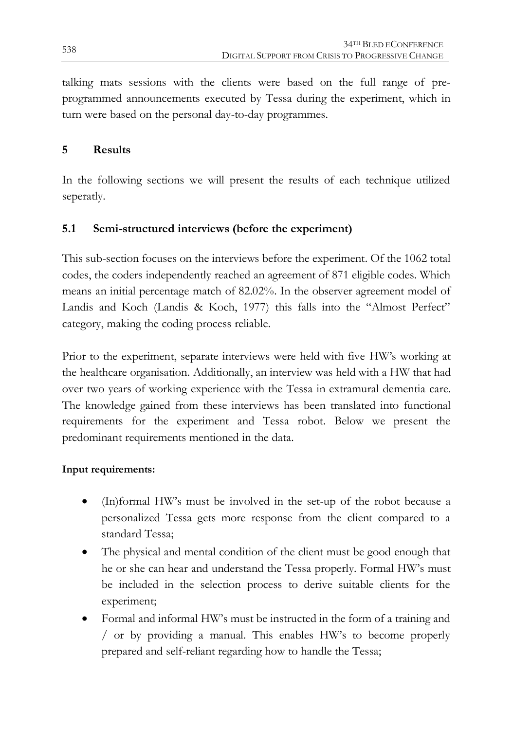talking mats sessions with the clients were based on the full range of preprogrammed announcements executed by Tessa during the experiment, which in turn were based on the personal day-to-day programmes.

#### **5 Results**

In the following sections we will present the results of each technique utilized seperatly.

# **5.1 Semi-structured interviews (before the experiment)**

This sub-section focuses on the interviews before the experiment. Of the 1062 total codes, the coders independently reached an agreement of 871 eligible codes. Which means an initial percentage match of 82.02%. In the observer agreement model of Landis and Koch (Landis & Koch, 1977) this falls into the "Almost Perfect" category, making the coding process reliable.

Prior to the experiment, separate interviews were held with five HW's working at the healthcare organisation. Additionally, an interview was held with a HW that had over two years of working experience with the Tessa in extramural dementia care. The knowledge gained from these interviews has been translated into functional requirements for the experiment and Tessa robot. Below we present the predominant requirements mentioned in the data.

#### **Input requirements:**

- (In)formal HW's must be involved in the set-up of the robot because a personalized Tessa gets more response from the client compared to a standard Tessa;
- The physical and mental condition of the client must be good enough that he or she can hear and understand the Tessa properly. Formal HW's must be included in the selection process to derive suitable clients for the experiment;
- Formal and informal HW's must be instructed in the form of a training and / or by providing a manual. This enables HW's to become properly prepared and self-reliant regarding how to handle the Tessa;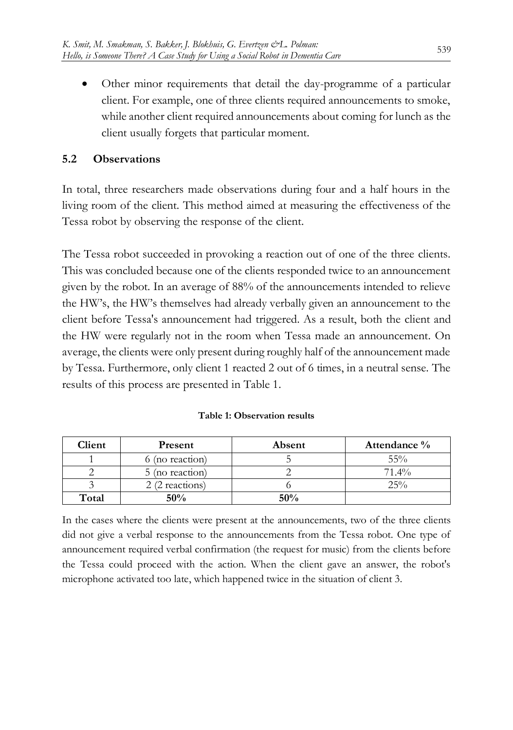Other minor requirements that detail the day-programme of a particular client. For example, one of three clients required announcements to smoke, while another client required announcements about coming for lunch as the client usually forgets that particular moment.

#### **5.2 Observations**

In total, three researchers made observations during four and a half hours in the living room of the client. This method aimed at measuring the effectiveness of the Tessa robot by observing the response of the client.

The Tessa robot succeeded in provoking a reaction out of one of the three clients. This was concluded because one of the clients responded twice to an announcement given by the robot. In an average of 88% of the announcements intended to relieve the HW's, the HW's themselves had already verbally given an announcement to the client before Tessa's announcement had triggered. As a result, both the client and the HW were regularly not in the room when Tessa made an announcement. On average, the clients were only present during roughly half of the announcement made by Tessa. Furthermore, only client 1 reacted 2 out of 6 times, in a neutral sense. The results of this process are presented in Table 1.

|  | Table 1: Observation results |  |
|--|------------------------------|--|
|--|------------------------------|--|

| Client | Present         | Absent | Attendance % |
|--------|-----------------|--------|--------------|
|        | 6 (no reaction) |        | 55%          |
|        | 5 (no reaction) |        | $71.4\%$     |
|        | 2 (2 reactions) |        | 25%          |
| Total  | 50%             | $50\%$ |              |

In the cases where the clients were present at the announcements, two of the three clients did not give a verbal response to the announcements from the Tessa robot. One type of announcement required verbal confirmation (the request for music) from the clients before the Tessa could proceed with the action. When the client gave an answer, the robot's microphone activated too late, which happened twice in the situation of client 3.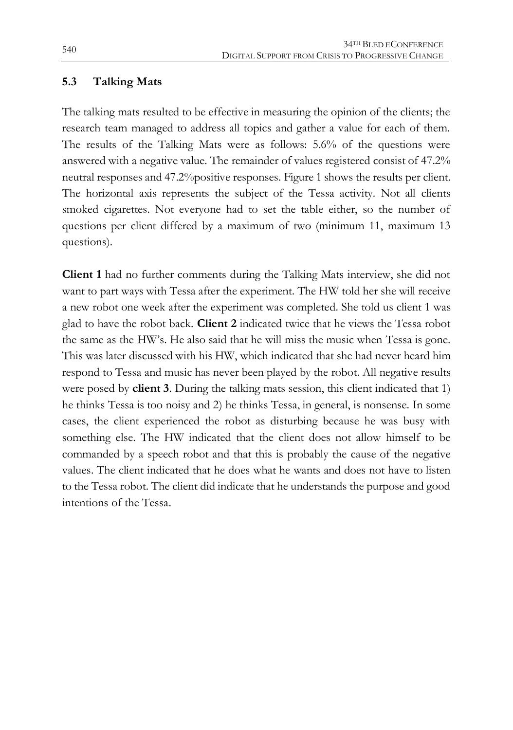#### **5.3 Talking Mats**

The talking mats resulted to be effective in measuring the opinion of the clients; the research team managed to address all topics and gather a value for each of them. The results of the Talking Mats were as follows: 5.6% of the questions were answered with a negative value. The remainder of values registered consist of 47.2% neutral responses and 47.2%positive responses. Figure 1 shows the results per client. The horizontal axis represents the subject of the Tessa activity. Not all clients smoked cigarettes. Not everyone had to set the table either, so the number of questions per client differed by a maximum of two (minimum 11, maximum 13 questions).

**Client 1** had no further comments during the Talking Mats interview, she did not want to part ways with Tessa after the experiment. The HW told her she will receive a new robot one week after the experiment was completed. She told us client 1 was glad to have the robot back. **Client 2** indicated twice that he views the Tessa robot the same as the HW's. He also said that he will miss the music when Tessa is gone. This was later discussed with his HW, which indicated that she had never heard him respond to Tessa and music has never been played by the robot. All negative results were posed by **client 3**. During the talking mats session, this client indicated that 1) he thinks Tessa is too noisy and 2) he thinks Tessa, in general, is nonsense. In some cases, the client experienced the robot as disturbing because he was busy with something else. The HW indicated that the client does not allow himself to be commanded by a speech robot and that this is probably the cause of the negative values. The client indicated that he does what he wants and does not have to listen to the Tessa robot. The client did indicate that he understands the purpose and good intentions of the Tessa.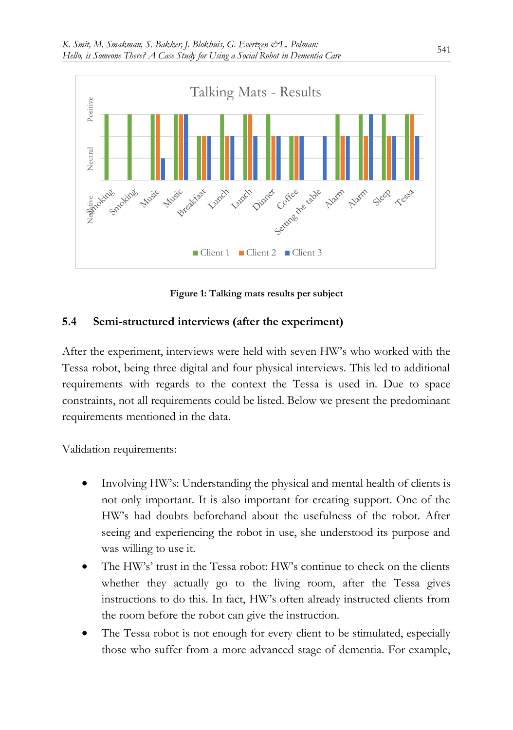

**Figure 1: Talking mats results per subject**

#### **5.4 Semi-structured interviews (after the experiment)**

After the experiment, interviews were held with seven HW's who worked with the Tessa robot, being three digital and four physical interviews. This led to additional requirements with regards to the context the Tessa is used in. Due to space constraints, not all requirements could be listed. Below we present the predominant requirements mentioned in the data.

Validation requirements:

- Involving HW's: Understanding the physical and mental health of clients is not only important. It is also important for creating support. One of the HW's had doubts beforehand about the usefulness of the robot. After seeing and experiencing the robot in use, she understood its purpose and was willing to use it.
- The HW's' trust in the Tessa robot: HW's continue to check on the clients whether they actually go to the living room, after the Tessa gives instructions to do this. In fact, HW's often already instructed clients from the room before the robot can give the instruction.
- The Tessa robot is not enough for every client to be stimulated, especially those who suffer from a more advanced stage of dementia. For example,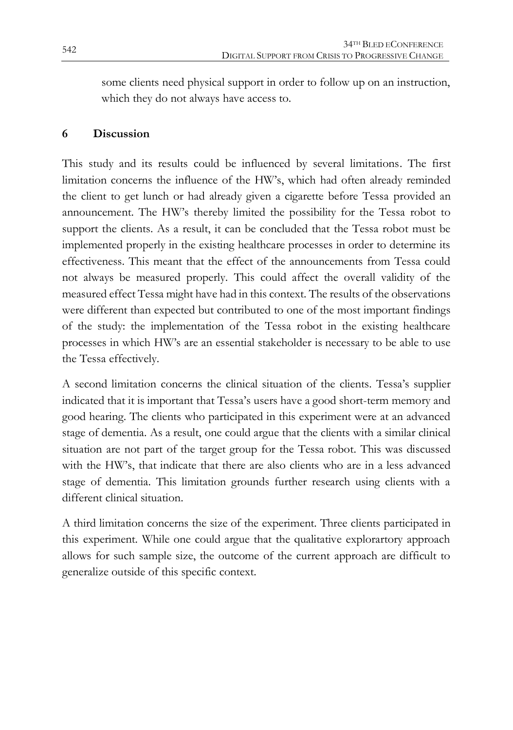some clients need physical support in order to follow up on an instruction, which they do not always have access to.

# **6 Discussion**

This study and its results could be influenced by several limitations. The first limitation concerns the influence of the HW's, which had often already reminded the client to get lunch or had already given a cigarette before Tessa provided an announcement. The HW's thereby limited the possibility for the Tessa robot to support the clients. As a result, it can be concluded that the Tessa robot must be implemented properly in the existing healthcare processes in order to determine its effectiveness. This meant that the effect of the announcements from Tessa could not always be measured properly. This could affect the overall validity of the measured effect Tessa might have had in this context. The results of the observations were different than expected but contributed to one of the most important findings of the study: the implementation of the Tessa robot in the existing healthcare processes in which HW's are an essential stakeholder is necessary to be able to use the Tessa effectively.

A second limitation concerns the clinical situation of the clients. Tessa's supplier indicated that it is important that Tessa's users have a good short-term memory and good hearing. The clients who participated in this experiment were at an advanced stage of dementia. As a result, one could argue that the clients with a similar clinical situation are not part of the target group for the Tessa robot. This was discussed with the HW's, that indicate that there are also clients who are in a less advanced stage of dementia. This limitation grounds further research using clients with a different clinical situation.

A third limitation concerns the size of the experiment. Three clients participated in this experiment. While one could argue that the qualitative explorartory approach allows for such sample size, the outcome of the current approach are difficult to generalize outside of this specific context.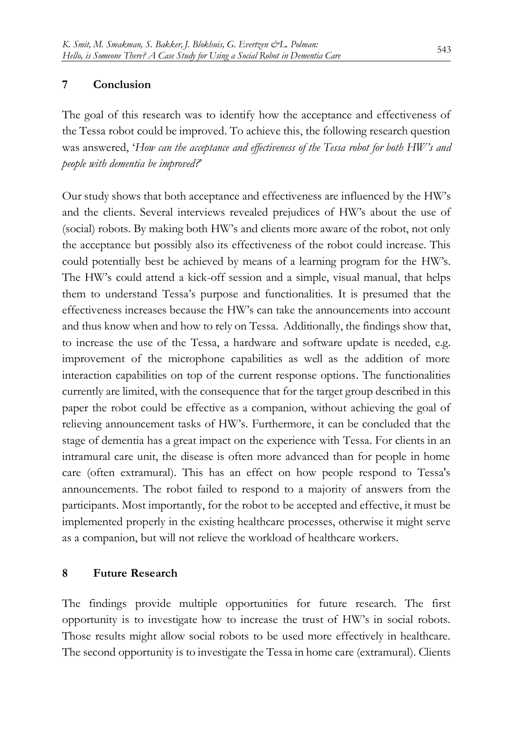#### **7 Conclusion**

The goal of this research was to identify how the acceptance and effectiveness of the Tessa robot could be improved. To achieve this, the following research question was answered, '*How can the acceptance and effectiveness of the Tessa robot for both HW's and people with dementia be improved?*'

Our study shows that both acceptance and effectiveness are influenced by the HW's and the clients. Several interviews revealed prejudices of HW's about the use of (social) robots. By making both HW's and clients more aware of the robot, not only the acceptance but possibly also its effectiveness of the robot could increase. This could potentially best be achieved by means of a learning program for the HW's. The HW's could attend a kick-off session and a simple, visual manual, that helps them to understand Tessa's purpose and functionalities. It is presumed that the effectiveness increases because the HW's can take the announcements into account and thus know when and how to rely on Tessa. Additionally, the findings show that, to increase the use of the Tessa, a hardware and software update is needed, e.g. improvement of the microphone capabilities as well as the addition of more interaction capabilities on top of the current response options. The functionalities currently are limited, with the consequence that for the target group described in this paper the robot could be effective as a companion, without achieving the goal of relieving announcement tasks of HW's. Furthermore, it can be concluded that the stage of dementia has a great impact on the experience with Tessa. For clients in an intramural care unit, the disease is often more advanced than for people in home care (often extramural). This has an effect on how people respond to Tessa's announcements. The robot failed to respond to a majority of answers from the participants. Most importantly, for the robot to be accepted and effective, it must be implemented properly in the existing healthcare processes, otherwise it might serve as a companion, but will not relieve the workload of healthcare workers.

#### **8 Future Research**

The findings provide multiple opportunities for future research. The first opportunity is to investigate how to increase the trust of HW's in social robots. Those results might allow social robots to be used more effectively in healthcare. The second opportunity is to investigate the Tessa in home care (extramural). Clients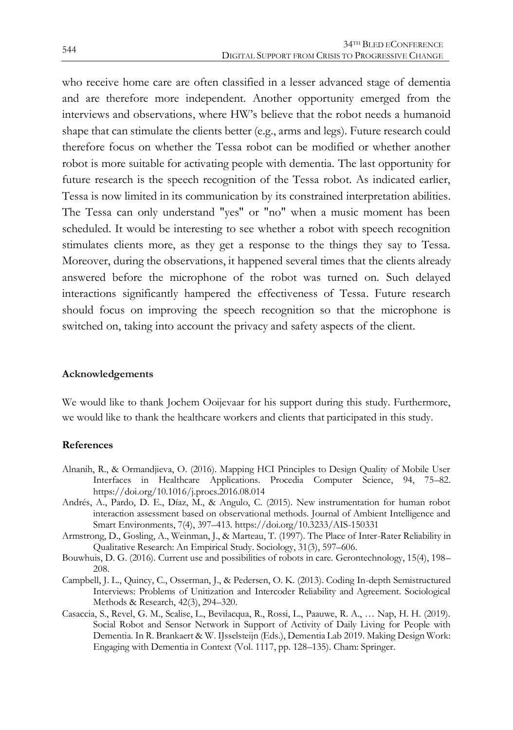who receive home care are often classified in a lesser advanced stage of dementia and are therefore more independent. Another opportunity emerged from the interviews and observations, where HW's believe that the robot needs a humanoid shape that can stimulate the clients better (e.g., arms and legs). Future research could therefore focus on whether the Tessa robot can be modified or whether another robot is more suitable for activating people with dementia. The last opportunity for future research is the speech recognition of the Tessa robot. As indicated earlier, Tessa is now limited in its communication by its constrained interpretation abilities. The Tessa can only understand "yes" or "no" when a music moment has been scheduled. It would be interesting to see whether a robot with speech recognition stimulates clients more, as they get a response to the things they say to Tessa. Moreover, during the observations, it happened several times that the clients already answered before the microphone of the robot was turned on. Such delayed interactions significantly hampered the effectiveness of Tessa. Future research should focus on improving the speech recognition so that the microphone is switched on, taking into account the privacy and safety aspects of the client.

#### **Acknowledgements**

We would like to thank Jochem Ooijevaar for his support during this study. Furthermore, we would like to thank the healthcare workers and clients that participated in this study.

#### **References**

- Alnanih, R., & Ormandjieva, O. (2016). Mapping HCI Principles to Design Quality of Mobile User Interfaces in Healthcare Applications. Procedia Computer Science, 94, 75–82. https://doi.org/10.1016/j.procs.2016.08.014
- Andrés, A., Pardo, D. E., Díaz, M., & Angulo, C. (2015). New instrumentation for human robot interaction assessment based on observational methods. Journal of Ambient Intelligence and Smart Environments, 7(4), 397–413. https://doi.org/10.3233/AIS-150331
- Armstrong, D., Gosling, A., Weinman, J., & Marteau, T. (1997). The Place of Inter-Rater Reliability in Qualitative Research: An Empirical Study. Sociology, 31(3), 597–606.
- Bouwhuis, D. G. (2016). Current use and possibilities of robots in care. Gerontechnology, 15(4), 198– 208.
- Campbell, J. L., Quincy, C., Osserman, J., & Pedersen, O. K. (2013). Coding In-depth Semistructured Interviews: Problems of Unitization and Intercoder Reliability and Agreement. Sociological Methods & Research, 42(3), 294–320.
- Casaccia, S., Revel, G. M., Scalise, L., Bevilacqua, R., Rossi, L., Paauwe, R. A., … Nap, H. H. (2019). Social Robot and Sensor Network in Support of Activity of Daily Living for People with Dementia. In R. Brankaert & W. IJsselsteijn (Eds.), Dementia Lab 2019. Making Design Work: Engaging with Dementia in Context (Vol. 1117, pp. 128–135). Cham: Springer.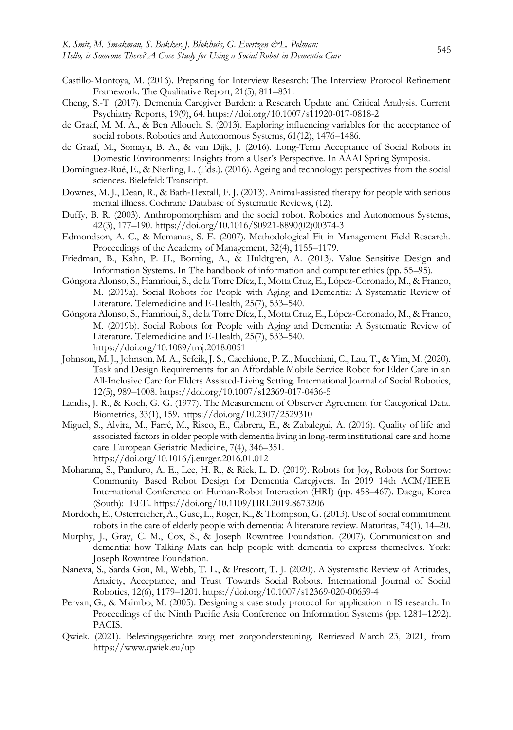- Castillo-Montoya, M. (2016). Preparing for Interview Research: The Interview Protocol Refinement Framework. The Qualitative Report, 21(5), 811–831.
- Cheng, S.-T. (2017). Dementia Caregiver Burden: a Research Update and Critical Analysis. Current Psychiatry Reports, 19(9), 64. https://doi.org/10.1007/s11920-017-0818-2
- de Graaf, M. M. A., & Ben Allouch, S. (2013). Exploring influencing variables for the acceptance of social robots. Robotics and Autonomous Systems, 61(12), 1476–1486.
- de Graaf, M., Somaya, B. A., & van Dijk, J. (2016). Long-Term Acceptance of Social Robots in Domestic Environments: Insights from a User's Perspective. In AAAI Spring Symposia.
- Domínguez-Rué, E., & Nierling, L. (Eds.). (2016). Ageing and technology: perspectives from the social sciences. Bielefeld: Transcript.
- Downes, M. J., Dean, R., & Bath‐Hextall, F. J. (2013). Animal‐assisted therapy for people with serious mental illness. Cochrane Database of Systematic Reviews, (12).
- Duffy, B. R. (2003). Anthropomorphism and the social robot. Robotics and Autonomous Systems, 42(3), 177–190. https://doi.org/10.1016/S0921-8890(02)00374-3
- Edmondson, A. C., & Mcmanus, S. E. (2007). Methodological Fit in Management Field Research. Proceedings of the Academy of Management, 32(4), 1155–1179.
- Friedman, B., Kahn, P. H., Borning, A., & Huldtgren, A. (2013). Value Sensitive Design and Information Systems. In The handbook of information and computer ethics (pp. 55–95).
- Góngora Alonso, S., Hamrioui, S., de la Torre Díez, I., Motta Cruz, E., López-Coronado, M., & Franco, M. (2019a). Social Robots for People with Aging and Dementia: A Systematic Review of Literature. Telemedicine and E-Health, 25(7), 533–540.
- Góngora Alonso, S., Hamrioui, S., de la Torre Díez, I., Motta Cruz, E., López-Coronado, M., & Franco, M. (2019b). Social Robots for People with Aging and Dementia: A Systematic Review of Literature. Telemedicine and E-Health, 25(7), 533–540. https://doi.org/10.1089/tmj.2018.0051
- Johnson, M. J., Johnson, M. A., Sefcik, J. S., Cacchione, P. Z., Mucchiani, C., Lau, T., & Yim, M. (2020). Task and Design Requirements for an Affordable Mobile Service Robot for Elder Care in an All-Inclusive Care for Elders Assisted-Living Setting. International Journal of Social Robotics, 12(5), 989–1008. https://doi.org/10.1007/s12369-017-0436-5
- Landis, J. R., & Koch, G. G. (1977). The Measurement of Observer Agreement for Categorical Data. Biometrics, 33(1), 159. https://doi.org/10.2307/2529310
- Miguel, S., Alvira, M., Farré, M., Risco, E., Cabrera, E., & Zabalegui, A. (2016). Quality of life and associated factors in older people with dementia living in long-term institutional care and home care. European Geriatric Medicine, 7(4), 346–351. https://doi.org/10.1016/j.eurger.2016.01.012
- Moharana, S., Panduro, A. E., Lee, H. R., & Riek, L. D. (2019). Robots for Joy, Robots for Sorrow: Community Based Robot Design for Dementia Caregivers. In 2019 14th ACM/IEEE International Conference on Human-Robot Interaction (HRI) (pp. 458–467). Daegu, Korea (South): IEEE. https://doi.org/10.1109/HRI.2019.8673206
- Mordoch, E., Osterreicher, A., Guse, L., Roger, K., & Thompson, G. (2013). Use of social commitment robots in the care of elderly people with dementia: A literature review. Maturitas, 74(1), 14–20.
- Murphy, J., Gray, C. M., Cox, S., & Joseph Rowntree Foundation. (2007). Communication and dementia: how Talking Mats can help people with dementia to express themselves. York: Joseph Rowntree Foundation.
- Naneva, S., Sarda Gou, M., Webb, T. L., & Prescott, T. J. (2020). A Systematic Review of Attitudes, Anxiety, Acceptance, and Trust Towards Social Robots. International Journal of Social Robotics, 12(6), 1179–1201. https://doi.org/10.1007/s12369-020-00659-4
- Pervan, G., & Maimbo, M. (2005). Designing a case study protocol for application in IS research. In Proceedings of the Ninth Pacific Asia Conference on Information Systems (pp. 1281–1292). PACIS.
- Qwiek. (2021). Belevingsgerichte zorg met zorgondersteuning. Retrieved March 23, 2021, from https://www.qwiek.eu/up